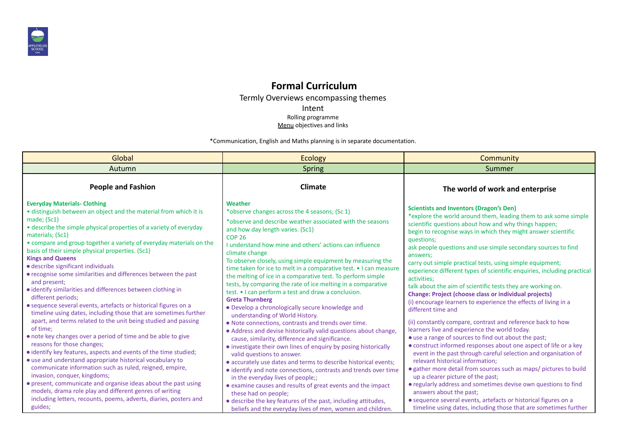

## **Formal Curriculum**

Termly Overviews encompassing themes Intent Rolling programme Menu objectives and links

\*Communication, English and Maths planning is in separate documentation.

| Global                                                                                                                                                                                                                                                                                                                                                                                                                                                                                                                                                                                                                                                                                                                                                                                                                                                                                                                                                                                                                                                                                                                                                                                                                                                                                                                                           | <b>Ecology</b>                                                                                                                                                                                                                                                                                                                                                                                                                                                                                                                                                                                                                                                                                                                                                                                                                                                                                                                                                                                                                                                                                                                                                                                                                                                                                                                                                                    | <b>Community</b>                                                                                                                                                                                                                                                                                                                                                                                                                                                                                                                                                                                                                                                                                                                                                                                                                                                                                                                                                                                                                                                                                                                                                                                                                                                                                                                                                                                                       |  |  |
|--------------------------------------------------------------------------------------------------------------------------------------------------------------------------------------------------------------------------------------------------------------------------------------------------------------------------------------------------------------------------------------------------------------------------------------------------------------------------------------------------------------------------------------------------------------------------------------------------------------------------------------------------------------------------------------------------------------------------------------------------------------------------------------------------------------------------------------------------------------------------------------------------------------------------------------------------------------------------------------------------------------------------------------------------------------------------------------------------------------------------------------------------------------------------------------------------------------------------------------------------------------------------------------------------------------------------------------------------|-----------------------------------------------------------------------------------------------------------------------------------------------------------------------------------------------------------------------------------------------------------------------------------------------------------------------------------------------------------------------------------------------------------------------------------------------------------------------------------------------------------------------------------------------------------------------------------------------------------------------------------------------------------------------------------------------------------------------------------------------------------------------------------------------------------------------------------------------------------------------------------------------------------------------------------------------------------------------------------------------------------------------------------------------------------------------------------------------------------------------------------------------------------------------------------------------------------------------------------------------------------------------------------------------------------------------------------------------------------------------------------|------------------------------------------------------------------------------------------------------------------------------------------------------------------------------------------------------------------------------------------------------------------------------------------------------------------------------------------------------------------------------------------------------------------------------------------------------------------------------------------------------------------------------------------------------------------------------------------------------------------------------------------------------------------------------------------------------------------------------------------------------------------------------------------------------------------------------------------------------------------------------------------------------------------------------------------------------------------------------------------------------------------------------------------------------------------------------------------------------------------------------------------------------------------------------------------------------------------------------------------------------------------------------------------------------------------------------------------------------------------------------------------------------------------------|--|--|
| Autumn                                                                                                                                                                                                                                                                                                                                                                                                                                                                                                                                                                                                                                                                                                                                                                                                                                                                                                                                                                                                                                                                                                                                                                                                                                                                                                                                           | <b>Spring</b>                                                                                                                                                                                                                                                                                                                                                                                                                                                                                                                                                                                                                                                                                                                                                                                                                                                                                                                                                                                                                                                                                                                                                                                                                                                                                                                                                                     | Summer                                                                                                                                                                                                                                                                                                                                                                                                                                                                                                                                                                                                                                                                                                                                                                                                                                                                                                                                                                                                                                                                                                                                                                                                                                                                                                                                                                                                                 |  |  |
| <b>People and Fashion</b>                                                                                                                                                                                                                                                                                                                                                                                                                                                                                                                                                                                                                                                                                                                                                                                                                                                                                                                                                                                                                                                                                                                                                                                                                                                                                                                        | Climate                                                                                                                                                                                                                                                                                                                                                                                                                                                                                                                                                                                                                                                                                                                                                                                                                                                                                                                                                                                                                                                                                                                                                                                                                                                                                                                                                                           | The world of work and enterprise                                                                                                                                                                                                                                                                                                                                                                                                                                                                                                                                                                                                                                                                                                                                                                                                                                                                                                                                                                                                                                                                                                                                                                                                                                                                                                                                                                                       |  |  |
| <b>Everyday Materials- Clothing</b><br>· distinguish between an object and the material from which it is<br>made; (Sc1)<br>• describe the simple physical properties of a variety of everyday<br>materials; (Sc1)<br>• compare and group together a variety of everyday materials on the<br>basis of their simple physical properties. (Sc1)<br><b>Kings and Queens</b><br>· describe significant individuals<br>• recognise some similarities and differences between the past<br>and present;<br>· identify similarities and differences between clothing in<br>different periods;<br>• sequence several events, artefacts or historical figures on a<br>timeline using dates, including those that are sometimes further<br>apart, and terms related to the unit being studied and passing<br>of time:<br>• note key changes over a period of time and be able to give<br>reasons for those changes;<br>• identify key features, aspects and events of the time studied;<br>• use and understand appropriate historical vocabulary to<br>communicate information such as ruled, reigned, empire,<br>invasion, conquer, kingdoms;<br>• present, communicate and organise ideas about the past using<br>models, drama role play and different genres of writing<br>including letters, recounts, poems, adverts, diaries, posters and<br>guides; | Weather<br>*observe changes across the 4 seasons; (Sc 1)<br>*observe and describe weather associated with the seasons<br>and how day length varies. (Sc1)<br><b>COP 26</b><br>I understand how mine and others' actions can influence<br>climate change<br>To observe closely, using simple equipment by measuring the<br>time taken for ice to melt in a comparative test. • I can measure<br>the melting of ice in a comparative test. To perform simple<br>tests, by comparing the rate of ice melting in a comparative<br>test. • I can perform a test and draw a conclusion.<br><b>Greta Thurnberg</b><br>• Develop a chronologically secure knowledge and<br>understanding of World History.<br>. Note connections, contrasts and trends over time.<br>• Address and devise historically valid questions about change,<br>cause, similarity, difference and significance.<br>• investigate their own lines of enquiry by posing historically<br>valid questions to answer.<br>• accurately use dates and terms to describe historical events;<br>• identify and note connections, contrasts and trends over time<br>in the everyday lives of people;;<br>• examine causes and results of great events and the impact<br>these had on people;<br>• describe the key features of the past, including attitudes,<br>beliefs and the everyday lives of men, women and children. | <b>Scientists and Inventors (Dragon's Den)</b><br>*explore the world around them, leading them to ask some simple<br>scientific questions about how and why things happen;<br>begin to recognise ways in which they might answer scientific<br>questions;<br>ask people questions and use simple secondary sources to find<br>answers;<br>carry out simple practical tests, using simple equipment;<br>experience different types of scientific enquiries, including practical<br>activities;<br>talk about the aim of scientific tests they are working on.<br><b>Change: Project (choose class or individual projects)</b><br>(i) encourage learners to experience the effects of living in a<br>different time and<br>(ii) constantly compare, contrast and reference back to how<br>learners live and experience the world today.<br>• use a range of sources to find out about the past;<br>• construct informed responses about one aspect of life or a key<br>event in the past through careful selection and organisation of<br>relevant historical information;<br>• gather more detail from sources such as maps/ pictures to build<br>up a clearer picture of the past;<br>· regularly address and sometimes devise own questions to find<br>answers about the past;<br>• sequence several events, artefacts or historical figures on a<br>timeline using dates, including those that are sometimes further |  |  |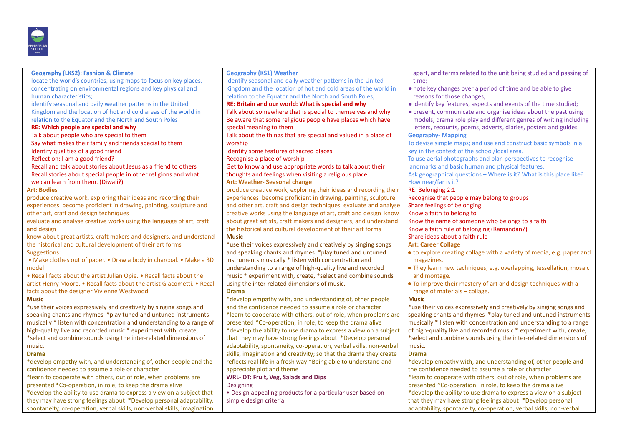

| <b>Geography (LKS2): Fashion &amp; Climate</b>                           | <b>Geography (KS1) Weather</b>                                     | apart, and terms related to the unit being studied and passing of     |  |  |
|--------------------------------------------------------------------------|--------------------------------------------------------------------|-----------------------------------------------------------------------|--|--|
| locate the world's countries, using maps to focus on key places,         | identify seasonal and daily weather patterns in the United         | time;                                                                 |  |  |
| concentrating on environmental regions and key physical and              | Kingdom and the location of hot and cold areas of the world in     | • note key changes over a period of time and be able to give          |  |  |
| human characteristics;                                                   | relation to the Equator and the North and South Poles;             | reasons for those changes;                                            |  |  |
| identify seasonal and daily weather patterns in the United               | RE: Britain and our world: What is special and why                 | • identify key features, aspects and events of the time studied;      |  |  |
| Kingdom and the location of hot and cold areas of the world in           | Talk about somewhere that is special to themselves and why         | • present, communicate and organise ideas about the past using        |  |  |
| relation to the Equator and the North and South Poles                    | Be aware that some religious people have places which have         | models, drama role play and different genres of writing including     |  |  |
| RE: Which people are special and why                                     | special meaning to them                                            | letters, recounts, poems, adverts, diaries, posters and guides        |  |  |
| Talk about people who are special to them                                | Talk about the things that are special and valued in a place of    | <b>Geography- Mapping</b>                                             |  |  |
| Say what makes their family and friends special to them                  | worship                                                            | To devise simple maps; and use and construct basic symbols in a       |  |  |
| Identify qualities of a good friend                                      | Identify some features of sacred places                            | key in the context of the school/local area.                          |  |  |
| Reflect on: I am a good friend?                                          | Recognise a place of worship                                       | To use aerial photographs and plan perspectives to recognise          |  |  |
| Recall and talk about stories about Jesus as a friend to others          | Get to know and use appropriate words to talk about their          | landmarks and basic human and physical features.                      |  |  |
| Recall stories about special people in other religions and what          | thoughts and feelings when visiting a religious place              | Ask geographical questions - Where is it? What is this place like?    |  |  |
| we can learn from them. (Diwali?)                                        | Art: Weather- Seasonal change                                      | How near/far is it?                                                   |  |  |
| <b>Art: Bodies</b>                                                       | produce creative work, exploring their ideas and recording their   | RE: Belonging 2:1                                                     |  |  |
| produce creative work, exploring their ideas and recording their         | experiences become proficient in drawing, painting, sculpture      | Recognise that people may belong to groups                            |  |  |
| experiences become proficient in drawing, painting, sculpture and        | and other art, craft and design techniques evaluate and analyse    | Share feelings of belonging                                           |  |  |
| other art, craft and design techniques                                   | creative works using the language of art, craft and design know    | Know a faith to belong to                                             |  |  |
| evaluate and analyse creative works using the language of art, craft     | about great artists, craft makers and designers, and understand    | Know the name of someone who belongs to a faith                       |  |  |
| and design                                                               | the historical and cultural development of their art forms         | Know a faith rule of belonging (Ramandan?)                            |  |  |
| know about great artists, craft makers and designers, and understand     | <b>Music</b>                                                       | Share ideas about a faith rule                                        |  |  |
| the historical and cultural development of their art forms               | *use their voices expressively and creatively by singing songs     | <b>Art: Career Collage</b>                                            |  |  |
| Suggestions:                                                             | and speaking chants and rhymes *play tuned and untuned             | • to explore creating collage with a variety of media, e.g. paper and |  |  |
| • Make clothes out of paper. • Draw a body in charcoal. • Make a 3D      | instruments musically * listen with concentration and              | magazines.                                                            |  |  |
| model                                                                    | understanding to a range of high-quality live and recorded         | . They learn new techniques, e.g. overlapping, tessellation, mosaic   |  |  |
| • Recall facts about the artist Julian Opie. • Recall facts about the    | music * experiment with, create, *select and combine sounds        | and montage.                                                          |  |  |
| artist Henry Moore. . Recall facts about the artist Giacometti. . Recall | using the inter-related dimensions of music.                       | . To improve their mastery of art and design techniques with a        |  |  |
| facts about the designer Vivienne Westwood.                              | <b>Drama</b>                                                       | range of materials - collage.                                         |  |  |
| Music                                                                    | *develop empathy with, and understanding of, other people          | <b>Music</b>                                                          |  |  |
| *use their voices expressively and creatively by singing songs and       | and the confidence needed to assume a role or character            | *use their voices expressively and creatively by singing songs and    |  |  |
| speaking chants and rhymes *play tuned and untuned instruments           | *learn to cooperate with others, out of role, when problems are    | speaking chants and rhymes *play tuned and untuned instruments        |  |  |
| musically * listen with concentration and understanding to a range of    | presented *Co-operation, in role, to keep the drama alive          | musically * listen with concentration and understanding to a range    |  |  |
| high-quality live and recorded music * experiment with, create,          | *develop the ability to use drama to express a view on a subject   | of high-quality live and recorded music * experiment with, create,    |  |  |
| *select and combine sounds using the inter-related dimensions of         | that they may have strong feelings about *Develop personal         | *select and combine sounds using the inter-related dimensions of      |  |  |
| music.                                                                   | adaptability, spontaneity, co-operation, verbal skills, non-verbal | music.                                                                |  |  |
| <b>Drama</b>                                                             | skills, imagination and creativity; so that the drama they create  | <b>Drama</b>                                                          |  |  |
| *develop empathy with, and understanding of, other people and the        | reflects real life in a fresh way *Being able to understand and    | *develop empathy with, and understanding of, other people and         |  |  |
| confidence needed to assume a role or character                          | appreciate plot and theme                                          | the confidence needed to assume a role or character                   |  |  |
| *learn to cooperate with others, out of role, when problems are          | <b>WRL- DT: Fruit, Veg, Salads and Dips</b>                        | *learn to cooperate with others, out of role, when problems are       |  |  |
| presented *Co-operation, in role, to keep the drama alive                | <b>Designing</b>                                                   | presented *Co-operation, in role, to keep the drama alive             |  |  |
| *develop the ability to use drama to express a view on a subject that    | • Design appealing products for a particular user based on         | *develop the ability to use drama to express a view on a subject      |  |  |
| they may have strong feelings about *Develop personal adaptability,      | simple design criteria.                                            | that they may have strong feelings about *Develop personal            |  |  |
| spontaneity, co-operation, verbal skills, non-verbal skills, imagination |                                                                    | adaptability, spontaneity, co-operation, verbal skills, non-verbal    |  |  |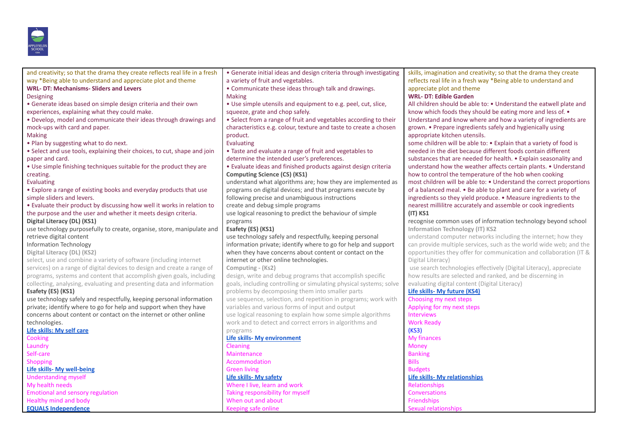

| and creativity; so that the drama they create reflects real life in a fresh | • Generate initial ideas and design criteria through investigating | skills, imagination and creativity; so that the drama they create   |  |  |
|-----------------------------------------------------------------------------|--------------------------------------------------------------------|---------------------------------------------------------------------|--|--|
| way *Being able to understand and appreciate plot and theme                 | a variety of fruit and vegetables.                                 | reflects real life in a fresh way *Being able to understand and     |  |  |
| <b>WRL- DT: Mechanisms- Sliders and Levers</b>                              | • Communicate these ideas through talk and drawings.               | appreciate plot and theme                                           |  |  |
| Designing                                                                   | <b>Making</b>                                                      | <b>WRL- DT: Edible Garden</b>                                       |  |  |
| • Generate ideas based on simple design criteria and their own              | • Use simple utensils and equipment to e.g. peel, cut, slice,      | All children should be able to: • Understand the eatwell plate and  |  |  |
| experiences, explaining what they could make.                               | squeeze, grate and chop safely.                                    | know which foods they should be eating more and less of. •          |  |  |
| . Develop, model and communicate their ideas through drawings and           | • Select from a range of fruit and vegetables according to their   | Understand and know where and how a variety of ingredients are      |  |  |
| mock-ups with card and paper.                                               | characteristics e.g. colour, texture and taste to create a chosen  | grown. • Prepare ingredients safely and hygienically using          |  |  |
| <b>Making</b>                                                               | product.                                                           | appropriate kitchen utensils.                                       |  |  |
| . Plan by suggesting what to do next.                                       | Evaluating                                                         | some children will be able to: • Explain that a variety of food is  |  |  |
| • Select and use tools, explaining their choices, to cut, shape and join    | • Taste and evaluate a range of fruit and vegetables to            | needed in the diet because different foods contain different        |  |  |
| paper and card.                                                             | determine the intended user's preferences.                         | substances that are needed for health. • Explain seasonality and    |  |  |
| . Use simple finishing techniques suitable for the product they are         | • Evaluate ideas and finished products against design criteria     | understand how the weather affects certain plants. • Understand     |  |  |
| creating.                                                                   | <b>Computing Science (CS) (KS1)</b>                                | how to control the temperature of the hob when cooking              |  |  |
| Evaluating                                                                  | understand what algorithms are; how they are implemented as        | most children will be able to: • Understand the correct proportions |  |  |
| • Explore a range of existing books and everyday products that use          | programs on digital devices; and that programs execute by          | of a balanced meal. • Be able to plant and care for a variety of    |  |  |
| simple sliders and levers.                                                  | following precise and unambiguous instructions                     | ingredients so they yield produce. . Measure ingredients to the     |  |  |
| • Evaluate their product by discussing how well it works in relation to     | create and debug simple programs                                   | nearest millilitre accurately and assemble or cook ingredients      |  |  |
| the purpose and the user and whether it meets design criteria.              | use logical reasoning to predict the behaviour of simple           | $(IT)$ KS1                                                          |  |  |
| Digital Literacy (DL) (KS1)                                                 | programs                                                           | recognise common uses of information technology beyond school       |  |  |
| use technology purposefully to create, organise, store, manipulate and      | Esafety (ES) (KS1)                                                 | <b>Information Technology (IT) KS2</b>                              |  |  |
| retrieve digital content                                                    | use technology safely and respectfully, keeping personal           | understand computer networks including the internet; how they       |  |  |
| <b>Information Technology</b>                                               | information private; identify where to go for help and support     | can provide multiple services, such as the world wide web; and the  |  |  |
| Digital Literacy (DL) (KS2)                                                 | when they have concerns about content or contact on the            | opportunities they offer for communication and collaboration (IT &  |  |  |
| select, use and combine a variety of software (including internet           | internet or other online technologies.                             | Digital Literacy)                                                   |  |  |
| services) on a range of digital devices to design and create a range of     | Computing - (Ks2)                                                  | use search technologies effectively (Digital Literacy), appreciate  |  |  |
| programs, systems and content that accomplish given goals, including        | design, write and debug programs that accomplish specific          | how results are selected and ranked, and be discerning in           |  |  |
| collecting, analysing, evaluating and presenting data and information       | goals, including controlling or simulating physical systems; solve | evaluating digital content (Digital Literacy)                       |  |  |
| Esafety (ES) (KS1)                                                          | problems by decomposing them into smaller parts                    | Life skills- My future (KS4)                                        |  |  |
| use technology safely and respectfully, keeping personal information        | use sequence, selection, and repetition in programs; work with     | Choosing my next steps                                              |  |  |
| private; identify where to go for help and support when they have           | variables and various forms of input and output                    | Applying for my next steps                                          |  |  |
| concerns about content or contact on the internet or other online           | use logical reasoning to explain how some simple algorithms        | <b>Interviews</b>                                                   |  |  |
| technologies.                                                               | work and to detect and correct errors in algorithms and            | <b>Work Ready</b>                                                   |  |  |
| Life skills: My self care                                                   | programs                                                           | (KS3)                                                               |  |  |
| Cooking                                                                     | Life skills- My environment                                        | My finances                                                         |  |  |
| Laundry                                                                     | Cleaning                                                           | Money                                                               |  |  |
| Self-care                                                                   | <b>Maintenance</b>                                                 | <b>Banking</b>                                                      |  |  |
| Shopping                                                                    | Accommodation                                                      | <b>Bills</b>                                                        |  |  |
| Life skills- My well-being                                                  | <b>Green living</b>                                                | <b>Budgets</b>                                                      |  |  |
| <b>Understanding myself</b>                                                 | <b>Life skills- My safety</b>                                      | Life skills- My relationships                                       |  |  |
| My health needs                                                             | Where I live, learn and work                                       | Relationships                                                       |  |  |
| <b>Emotional and sensory regulation</b>                                     | Taking responsibility for myself                                   | Conversations                                                       |  |  |
| Healthy mind and body                                                       | When out and about                                                 | Friendships                                                         |  |  |
| <b>EQUALS Independence</b>                                                  | Keeping safe online                                                | <b>Sexual relationships</b>                                         |  |  |